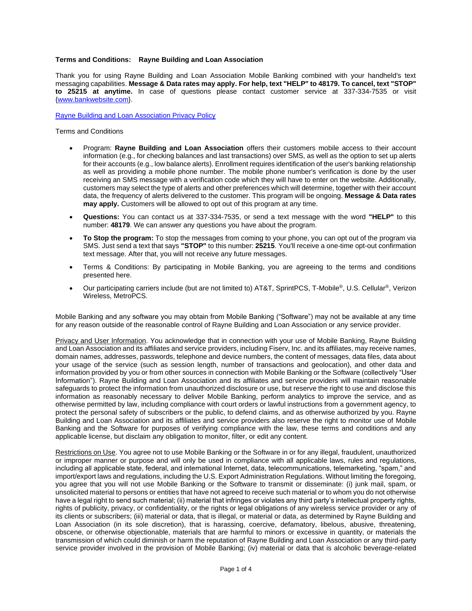#### **Terms and Conditions: Rayne Building and Loan Association**

Thank you for using Rayne Building and Loan Association Mobile Banking combined with your handheld's text messaging capabilities. **Message & Data rates may apply. For help, text "HELP" to 48179. To cancel, text "STOP" to 25215 at anytime.** In case of questions please contact customer service at 337-334-7535 or visit [{www.bankwebsite.com}](http://www.fiserv.com/).

[Rayne Building and Loan Association Privacy Policy](https://www.raynebuildingloan.com/_assets/img/Privacy%20Notice%20(Website%202018).pdf)

Terms and Conditions

- Program: **Rayne Building and Loan Association** offers their customers mobile access to their account information (e.g., for checking balances and last transactions) over SMS, as well as the option to set up alerts for their accounts (e.g., low balance alerts). Enrollment requires identification of the user's banking relationship as well as providing a mobile phone number. The mobile phone number's verification is done by the user receiving an SMS message with a verification code which they will have to enter on the website. Additionally, customers may select the type of alerts and other preferences which will determine, together with their account data, the frequency of alerts delivered to the customer. This program will be ongoing. **Message & Data rates may apply.** Customers will be allowed to opt out of this program at any time.
- **Questions:** You can contact us at 337-334-7535, or send a text message with the word **"HELP"** to this number: **48179**. We can answer any questions you have about the program.
- **To Stop the program:** To stop the messages from coming to your phone, you can opt out of the program via SMS. Just send a text that says **"STOP"** to this number: **25215**. You'll receive a one-time opt-out confirmation text message. After that, you will not receive any future messages.
- Terms & Conditions: By participating in Mobile Banking, you are agreeing to the terms and conditions presented here.
- Our participating carriers include (but are not limited to) AT&T, SprintPCS, T-Mobile®, U.S. Cellular®, Verizon Wireless, MetroPCS.

Mobile Banking and any software you may obtain from Mobile Banking ("Software") may not be available at any time for any reason outside of the reasonable control of Rayne Building and Loan Association or any service provider.

Privacy and User Information. You acknowledge that in connection with your use of Mobile Banking, Rayne Building and Loan Association and its affiliates and service providers, including Fiserv, Inc. and its affiliates, may receive names, domain names, addresses, passwords, telephone and device numbers, the content of messages, data files, data about your usage of the service (such as session length, number of transactions and geolocation), and other data and information provided by you or from other sources in connection with Mobile Banking or the Software (collectively "User Information"). Rayne Building and Loan Association and its affiliates and service providers will maintain reasonable safeguards to protect the information from unauthorized disclosure or use, but reserve the right to use and disclose this information as reasonably necessary to deliver Mobile Banking, perform analytics to improve the service, and as otherwise permitted by law, including compliance with court orders or lawful instructions from a government agency, to protect the personal safety of subscribers or the public, to defend claims, and as otherwise authorized by you. Rayne Building and Loan Association and its affiliates and service providers also reserve the right to monitor use of Mobile Banking and the Software for purposes of verifying compliance with the law, these terms and conditions and any applicable license, but disclaim any obligation to monitor, filter, or edit any content.

Restrictions on Use. You agree not to use Mobile Banking or the Software in or for any illegal, fraudulent, unauthorized or improper manner or purpose and will only be used in compliance with all applicable laws, rules and regulations, including all applicable state, federal, and international Internet, data, telecommunications, telemarketing, "spam," and import/export laws and regulations, including the U.S. Export Administration Regulations. Without limiting the foregoing, you agree that you will not use Mobile Banking or the Software to transmit or disseminate: (i) junk mail, spam, or unsolicited material to persons or entities that have not agreed to receive such material or to whom you do not otherwise have a legal right to send such material; (ii) material that infringes or violates any third party's intellectual property rights, rights of publicity, privacy, or confidentiality, or the rights or legal obligations of any wireless service provider or any of its clients or subscribers; (iii) material or data, that is illegal, or material or data, as determined by Rayne Building and Loan Association (in its sole discretion), that is harassing, coercive, defamatory, libelous, abusive, threatening, obscene, or otherwise objectionable, materials that are harmful to minors or excessive in quantity, or materials the transmission of which could diminish or harm the reputation of Rayne Building and Loan Association or any third-party service provider involved in the provision of Mobile Banking; (iv) material or data that is alcoholic beverage-related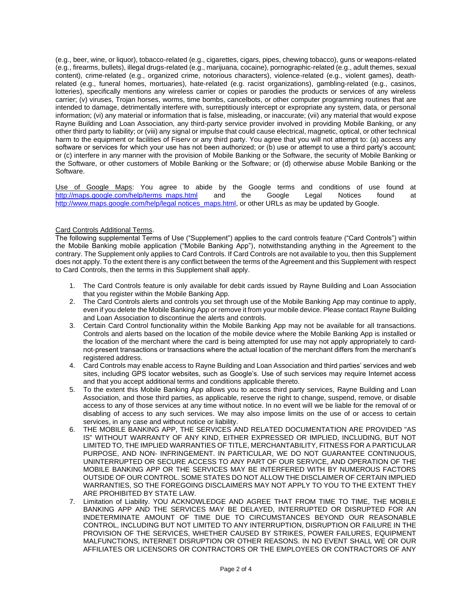(e.g., beer, wine, or liquor), tobacco-related (e.g., cigarettes, cigars, pipes, chewing tobacco), guns or weapons-related (e.g., firearms, bullets), illegal drugs-related (e.g., marijuana, cocaine), pornographic-related (e.g., adult themes, sexual content), crime-related (e.g., organized crime, notorious characters), violence-related (e.g., violent games), deathrelated (e.g., funeral homes, mortuaries), hate-related (e.g. racist organizations), gambling-related (e.g., casinos, lotteries), specifically mentions any wireless carrier or copies or parodies the products or services of any wireless carrier; (v) viruses, Trojan horses, worms, time bombs, cancelbots, or other computer programming routines that are intended to damage, detrimentally interfere with, surreptitiously intercept or expropriate any system, data, or personal information; (vi) any material or information that is false, misleading, or inaccurate; (vii) any material that would expose Rayne Building and Loan Association, any third-party service provider involved in providing Mobile Banking, or any other third party to liability; or (viii) any signal or impulse that could cause electrical, magnetic, optical, or other technical harm to the equipment or facilities of Fiserv or any third party. You agree that you will not attempt to: (a) access any software or services for which your use has not been authorized; or (b) use or attempt to use a third party's account; or (c) interfere in any manner with the provision of Mobile Banking or the Software, the security of Mobile Banking or the Software, or other customers of Mobile Banking or the Software; or (d) otherwise abuse Mobile Banking or the Software.

Use of Google Maps: You agree to abide by the Google terms and conditions of use found at [http://maps.google.com/help/terms\\_maps.html](http://maps.google.com/help/terms_maps.html) and the Google Legal Notices found at [http://www.maps.google.com/help/legal notices\\_maps.html,](http://www.maps.google.com/help/legal%20notices_maps.html) or other URLs as may be updated by Google.

## Card Controls Additional Terms.

The following supplemental Terms of Use ("Supplement") applies to the card controls feature ("Card Controls") within the Mobile Banking mobile application ("Mobile Banking App"), notwithstanding anything in the Agreement to the contrary. The Supplement only applies to Card Controls. If Card Controls are not available to you, then this Supplement does not apply. To the extent there is any conflict between the terms of the Agreement and this Supplement with respect to Card Controls, then the terms in this Supplement shall apply.

- 1. The Card Controls feature is only available for debit cards issued by Rayne Building and Loan Association that you register within the Mobile Banking App.
- 2. The Card Controls alerts and controls you set through use of the Mobile Banking App may continue to apply, even if you delete the Mobile Banking App or remove it from your mobile device. Please contact Rayne Building and Loan Association to discontinue the alerts and controls.
- 3. Certain Card Control functionality within the Mobile Banking App may not be available for all transactions. Controls and alerts based on the location of the mobile device where the Mobile Banking App is installed or the location of the merchant where the card is being attempted for use may not apply appropriately to cardnot-present transactions or transactions where the actual location of the merchant differs from the merchant's registered address.
- 4. Card Controls may enable access to Rayne Building and Loan Association and third parties' services and web sites, including GPS locator websites, such as Google's. Use of such services may require Internet access and that you accept additional terms and conditions applicable thereto.
- 5. To the extent this Mobile Banking App allows you to access third party services, Rayne Building and Loan Association, and those third parties, as applicable, reserve the right to change, suspend, remove, or disable access to any of those services at any time without notice. In no event will we be liable for the removal of or disabling of access to any such services. We may also impose limits on the use of or access to certain services, in any case and without notice or liability.
- 6. THE MOBILE BANKING APP, THE SERVICES AND RELATED DOCUMENTATION ARE PROVIDED "AS IS" WITHOUT WARRANTY OF ANY KIND, EITHER EXPRESSED OR IMPLIED, INCLUDING, BUT NOT LIMITED TO, THE IMPLIED WARRANTIES OF TITLE, MERCHANTABILITY, FITNESS FOR A PARTICULAR PURPOSE, AND NON- INFRINGEMENT. IN PARTICULAR, WE DO NOT GUARANTEE CONTINUOUS, UNINTERRUPTED OR SECURE ACCESS TO ANY PART OF OUR SERVICE, AND OPERATION OF THE MOBILE BANKING APP OR THE SERVICES MAY BE INTERFERED WITH BY NUMEROUS FACTORS OUTSIDE OF OUR CONTROL. SOME STATES DO NOT ALLOW THE DISCLAIMER OF CERTAIN IMPLIED WARRANTIES, SO THE FOREGOING DISCLAIMERS MAY NOT APPLY TO YOU TO THE EXTENT THEY ARE PROHIBITED BY STATE LAW.
- 7. Limitation of Liability. YOU ACKNOWLEDGE AND AGREE THAT FROM TIME TO TIME, THE MOBILE BANKING APP AND THE SERVICES MAY BE DELAYED, INTERRUPTED OR DISRUPTED FOR AN INDETERMINATE AMOUNT OF TIME DUE TO CIRCUMSTANCES BEYOND OUR REASONABLE CONTROL, INCLUDING BUT NOT LIMITED TO ANY INTERRUPTION, DISRUPTION OR FAILURE IN THE PROVISION OF THE SERVICES, WHETHER CAUSED BY STRIKES, POWER FAILURES, EQUIPMENT MALFUNCTIONS, INTERNET DISRUPTION OR OTHER REASONS. IN NO EVENT SHALL WE OR OUR AFFILIATES OR LICENSORS OR CONTRACTORS OR THE EMPLOYEES OR CONTRACTORS OF ANY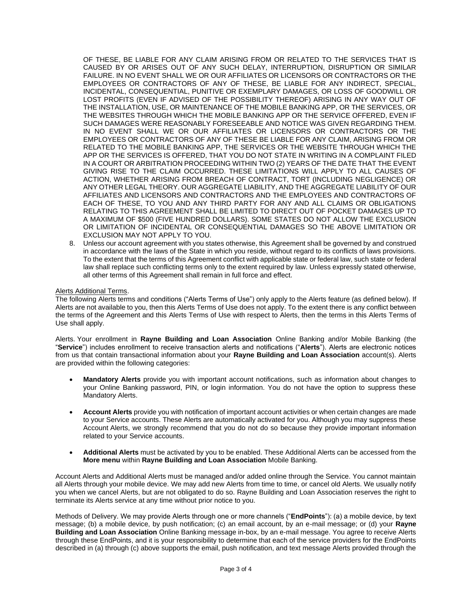OF THESE, BE LIABLE FOR ANY CLAIM ARISING FROM OR RELATED TO THE SERVICES THAT IS CAUSED BY OR ARISES OUT OF ANY SUCH DELAY, INTERRUPTION, DISRUPTION OR SIMILAR FAILURE. IN NO EVENT SHALL WE OR OUR AFFILIATES OR LICENSORS OR CONTRACTORS OR THE EMPLOYEES OR CONTRACTORS OF ANY OF THESE, BE LIABLE FOR ANY INDIRECT, SPECIAL, INCIDENTAL, CONSEQUENTIAL, PUNITIVE OR EXEMPLARY DAMAGES, OR LOSS OF GOODWILL OR LOST PROFITS (EVEN IF ADVISED OF THE POSSIBILITY THEREOF) ARISING IN ANY WAY OUT OF THE INSTALLATION, USE, OR MAINTENANCE OF THE MOBILE BANKING APP, OR THE SERVICES, OR THE WEBSITES THROUGH WHICH THE MOBILE BANKING APP OR THE SERVICE OFFERED, EVEN IF SUCH DAMAGES WERE REASONABLY FORESEEABLE AND NOTICE WAS GIVEN REGARDING THEM. IN NO EVENT SHALL WE OR OUR AFFILIATES OR LICENSORS OR CONTRACTORS OR THE EMPLOYEES OR CONTRACTORS OF ANY OF THESE BE LIABLE FOR ANY CLAIM, ARISING FROM OR RELATED TO THE MOBILE BANKING APP, THE SERVICES OR THE WEBSITE THROUGH WHICH THE APP OR THE SERVICES IS OFFERED, THAT YOU DO NOT STATE IN WRITING IN A COMPLAINT FILED IN A COURT OR ARBITRATION PROCEEDING WITHIN TWO (2) YEARS OF THE DATE THAT THE EVENT GIVING RISE TO THE CLAIM OCCURRED. THESE LIMITATIONS WILL APPLY TO ALL CAUSES OF ACTION, WHETHER ARISING FROM BREACH OF CONTRACT, TORT (INCLUDING NEGLIGENCE) OR ANY OTHER LEGAL THEORY. OUR AGGREGATE LIABILITY, AND THE AGGREGATE LIABILITY OF OUR AFFILIATES AND LICENSORS AND CONTRACTORS AND THE EMPLOYEES AND CONTRACTORS OF EACH OF THESE, TO YOU AND ANY THIRD PARTY FOR ANY AND ALL CLAIMS OR OBLIGATIONS RELATING TO THIS AGREEMENT SHALL BE LIMITED TO DIRECT OUT OF POCKET DAMAGES UP TO A MAXIMUM OF \$500 (FIVE HUNDRED DOLLARS). SOME STATES DO NOT ALLOW THE EXCLUSION OR LIMITATION OF INCIDENTAL OR CONSEQUENTIAL DAMAGES SO THE ABOVE LIMITATION OR EXCLUSION MAY NOT APPLY TO YOU.

8. Unless our account agreement with you states otherwise, this Agreement shall be governed by and construed in accordance with the laws of the State in which you reside, without regard to its conflicts of laws provisions. To the extent that the terms of this Agreement conflict with applicable state or federal law, such state or federal law shall replace such conflicting terms only to the extent required by law. Unless expressly stated otherwise, all other terms of this Agreement shall remain in full force and effect.

## Alerts Additional Terms.

The following Alerts terms and conditions ("Alerts Terms of Use") only apply to the Alerts feature (as defined below). If Alerts are not available to you, then this Alerts Terms of Use does not apply. To the extent there is any conflict between the terms of the Agreement and this Alerts Terms of Use with respect to Alerts, then the terms in this Alerts Terms of Use shall apply.

Alerts. Your enrollment in **Rayne Building and Loan Association** Online Banking and/or Mobile Banking (the "**Service**") includes enrollment to receive transaction alerts and notifications ("**Alerts**"). Alerts are electronic notices from us that contain transactional information about your **Rayne Building and Loan Association** account(s). Alerts are provided within the following categories:

- **Mandatory Alerts** provide you with important account notifications, such as information about changes to your Online Banking password, PIN, or login information. You do not have the option to suppress these Mandatory Alerts.
- **Account Alerts** provide you with notification of important account activities or when certain changes are made to your Service accounts. These Alerts are automatically activated for you. Although you may suppress these Account Alerts, we strongly recommend that you do not do so because they provide important information related to your Service accounts.
- **Additional Alerts** must be activated by you to be enabled. These Additional Alerts can be accessed from the **More menu** within **Rayne Building and Loan Association** Mobile Banking.

Account Alerts and Additional Alerts must be managed and/or added online through the Service. You cannot maintain all Alerts through your mobile device. We may add new Alerts from time to time, or cancel old Alerts. We usually notify you when we cancel Alerts, but are not obligated to do so. Rayne Building and Loan Association reserves the right to terminate its Alerts service at any time without prior notice to you.

Methods of Delivery. We may provide Alerts through one or more channels ("**EndPoints**"): (a) a mobile device, by text message; (b) a mobile device, by push notification; (c) an email account, by an e-mail message; or (d) your **Rayne Building and Loan Association** Online Banking message in-box, by an e-mail message. You agree to receive Alerts through these EndPoints, and it is your responsibility to determine that each of the service providers for the EndPoints described in (a) through (c) above supports the email, push notification, and text message Alerts provided through the